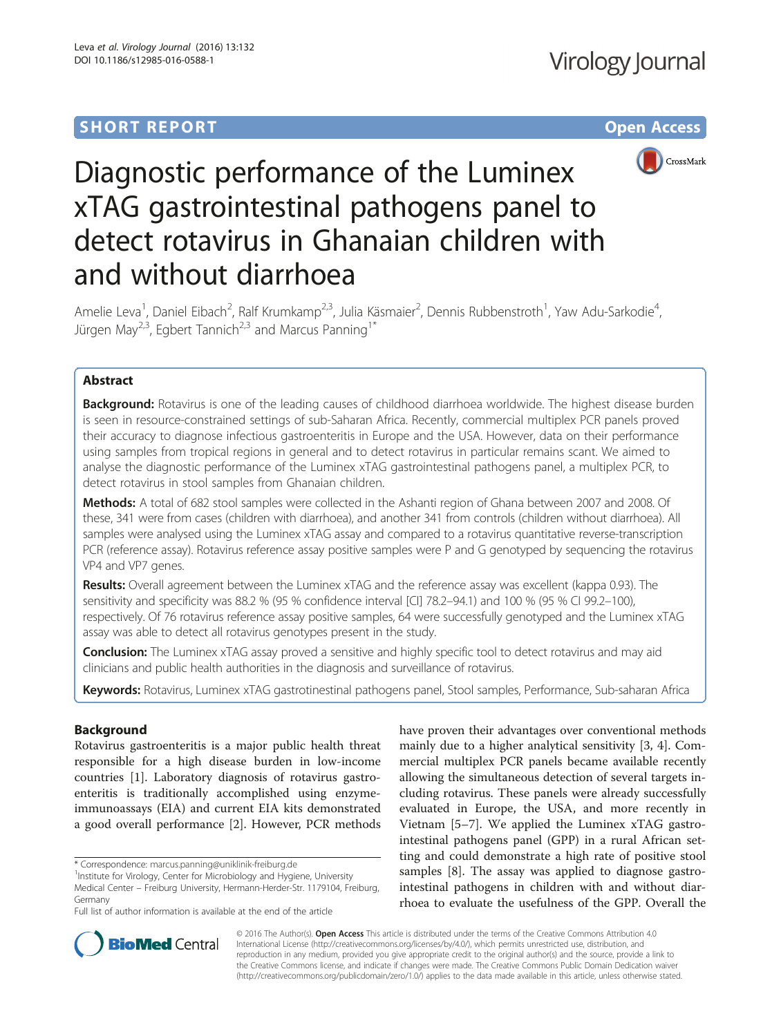# **SHORT REPORT SHORT CONSUMING THE CONSUMING THE CONSUMING THE CONSUMING THE CONSUMING THE CONSUMING THE CONSUMING THE CONSUMING THE CONSUMING THE CONSUMING THE CONSUMING THE CONSUMING THE CONSUMING THE CONSUMING THE CONS**



# Diagnostic performance of the Luminex xTAG gastrointestinal pathogens panel to detect rotavirus in Ghanaian children with and without diarrhoea

Amelie Leva<sup>1</sup>, Daniel Eibach<sup>2</sup>, Ralf Krumkamp<sup>2,3</sup>, Julia Käsmaier<sup>2</sup>, Dennis Rubbenstroth<sup>1</sup>, Yaw Adu-Sarkodie<sup>4</sup> , Jürgen May<sup>2,3</sup>, Egbert Tannich<sup>2,3</sup> and Marcus Panning<sup>1\*</sup>

# Abstract

**Background:** Rotavirus is one of the leading causes of childhood diarrhoea worldwide. The highest disease burden is seen in resource-constrained settings of sub-Saharan Africa. Recently, commercial multiplex PCR panels proved their accuracy to diagnose infectious gastroenteritis in Europe and the USA. However, data on their performance using samples from tropical regions in general and to detect rotavirus in particular remains scant. We aimed to analyse the diagnostic performance of the Luminex xTAG gastrointestinal pathogens panel, a multiplex PCR, to detect rotavirus in stool samples from Ghanaian children.

Methods: A total of 682 stool samples were collected in the Ashanti region of Ghana between 2007 and 2008. Of these, 341 were from cases (children with diarrhoea), and another 341 from controls (children without diarrhoea). All samples were analysed using the Luminex xTAG assay and compared to a rotavirus quantitative reverse-transcription PCR (reference assay). Rotavirus reference assay positive samples were P and G genotyped by sequencing the rotavirus VP4 and VP7 genes.

Results: Overall agreement between the Luminex xTAG and the reference assay was excellent (kappa 0.93). The sensitivity and specificity was 88.2 % (95 % confidence interval [CI] 78.2–94.1) and 100 % (95 % CI 99.2–100), respectively. Of 76 rotavirus reference assay positive samples, 64 were successfully genotyped and the Luminex xTAG assay was able to detect all rotavirus genotypes present in the study.

**Conclusion:** The Luminex xTAG assay proved a sensitive and highly specific tool to detect rotavirus and may aid clinicians and public health authorities in the diagnosis and surveillance of rotavirus.

Keywords: Rotavirus, Luminex xTAG gastrotinestinal pathogens panel, Stool samples, Performance, Sub-saharan Africa

## Background

Rotavirus gastroenteritis is a major public health threat responsible for a high disease burden in low-income countries [\[1](#page-4-0)]. Laboratory diagnosis of rotavirus gastroenteritis is traditionally accomplished using enzymeimmunoassays (EIA) and current EIA kits demonstrated a good overall performance [[2\]](#page-4-0). However, PCR methods

\* Correspondence: [marcus.panning@uniklinik-freiburg.de](mailto:marcus.panning@uniklinik-freiburg.de) <sup>1</sup>

Full list of author information is available at the end of the article

have proven their advantages over conventional methods mainly due to a higher analytical sensitivity [\[3, 4](#page-4-0)]. Commercial multiplex PCR panels became available recently allowing the simultaneous detection of several targets including rotavirus. These panels were already successfully evaluated in Europe, the USA, and more recently in Vietnam [[5](#page-4-0)–[7\]](#page-4-0). We applied the Luminex xTAG gastrointestinal pathogens panel (GPP) in a rural African setting and could demonstrate a high rate of positive stool samples [\[8](#page-4-0)]. The assay was applied to diagnose gastrointestinal pathogens in children with and without diarrhoea to evaluate the usefulness of the GPP. Overall the



© 2016 The Author(s). Open Access This article is distributed under the terms of the Creative Commons Attribution 4.0 International License [\(http://creativecommons.org/licenses/by/4.0/](http://creativecommons.org/licenses/by/4.0/)), which permits unrestricted use, distribution, and reproduction in any medium, provided you give appropriate credit to the original author(s) and the source, provide a link to the Creative Commons license, and indicate if changes were made. The Creative Commons Public Domain Dedication waiver [\(http://creativecommons.org/publicdomain/zero/1.0/](http://creativecommons.org/publicdomain/zero/1.0/)) applies to the data made available in this article, unless otherwise stated.

<sup>&</sup>lt;sup>1</sup>Institute for Virology, Center for Microbiology and Hygiene, University

Medical Center – Freiburg University, Hermann-Herder-Str. 1179104, Freiburg, Germany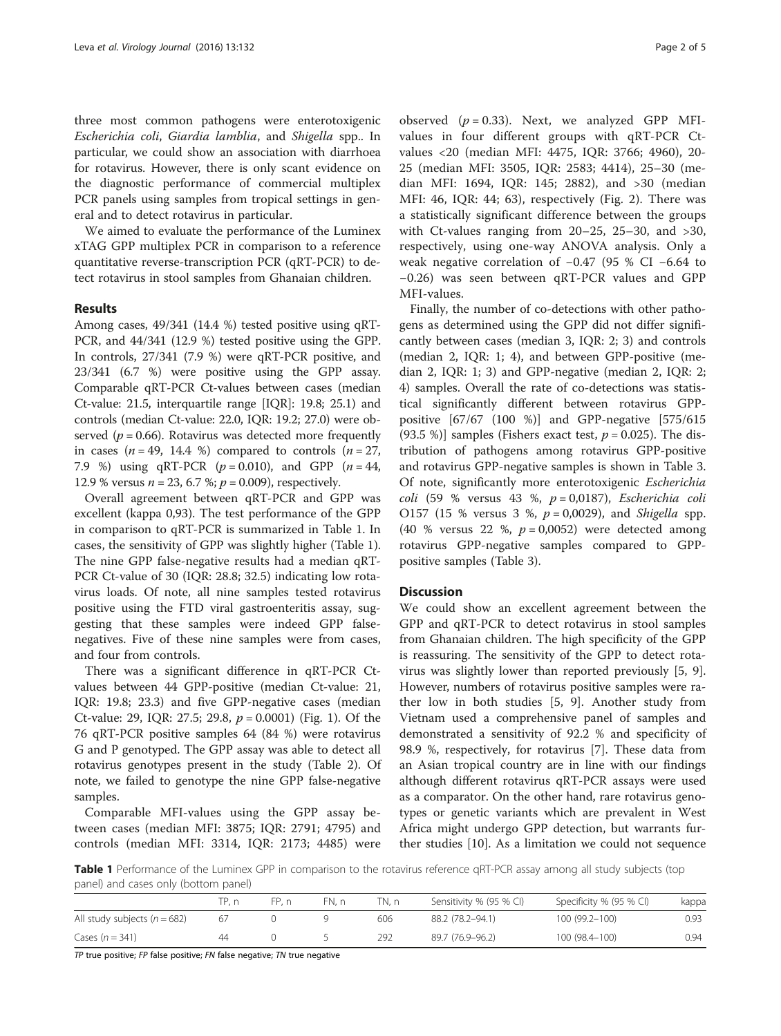three most common pathogens were enterotoxigenic Escherichia coli, Giardia lamblia, and Shigella spp.. In particular, we could show an association with diarrhoea for rotavirus. However, there is only scant evidence on the diagnostic performance of commercial multiplex PCR panels using samples from tropical settings in general and to detect rotavirus in particular.

We aimed to evaluate the performance of the Luminex xTAG GPP multiplex PCR in comparison to a reference quantitative reverse-transcription PCR (qRT-PCR) to detect rotavirus in stool samples from Ghanaian children.

## Results

Among cases, 49/341 (14.4 %) tested positive using qRT-PCR, and 44/341 (12.9 %) tested positive using the GPP. In controls, 27/341 (7.9 %) were qRT-PCR positive, and 23/341 (6.7 %) were positive using the GPP assay. Comparable qRT-PCR Ct-values between cases (median Ct-value: 21.5, interquartile range [IQR]: 19.8; 25.1) and controls (median Ct-value: 22.0, IQR: 19.2; 27.0) were observed ( $p = 0.66$ ). Rotavirus was detected more frequently in cases  $(n = 49, 14.4 \%)$  compared to controls  $(n = 27,$ 7.9 %) using qRT-PCR  $(p = 0.010)$ , and GPP  $(n = 44)$ , 12.9 % versus  $n = 23, 6.7$  %;  $p = 0.009$ ), respectively.

Overall agreement between qRT-PCR and GPP was excellent (kappa 0,93). The test performance of the GPP in comparison to qRT-PCR is summarized in Table 1. In cases, the sensitivity of GPP was slightly higher (Table 1). The nine GPP false-negative results had a median qRT-PCR Ct-value of 30 (IQR: 28.8; 32.5) indicating low rotavirus loads. Of note, all nine samples tested rotavirus positive using the FTD viral gastroenteritis assay, suggesting that these samples were indeed GPP falsenegatives. Five of these nine samples were from cases, and four from controls.

There was a significant difference in qRT-PCR Ctvalues between 44 GPP-positive (median Ct-value: 21, IQR: 19.8; 23.3) and five GPP-negative cases (median Ct-value: 29, IQR: 27.5; 29.8,  $p = 0.0001$ ) (Fig. [1\)](#page-2-0). Of the 76 qRT-PCR positive samples 64 (84 %) were rotavirus G and P genotyped. The GPP assay was able to detect all rotavirus genotypes present in the study (Table [2\)](#page-2-0). Of note, we failed to genotype the nine GPP false-negative samples.

Comparable MFI-values using the GPP assay between cases (median MFI: 3875; IQR: 2791; 4795) and controls (median MFI: 3314, IQR: 2173; 4485) were

observed  $(p = 0.33)$ . Next, we analyzed GPP MFIvalues in four different groups with qRT-PCR Ctvalues <20 (median MFI: 4475, IQR: 3766; 4960), 20- 25 (median MFI: 3505, IQR: 2583; 4414), 25–30 (median MFI: 1694, IQR: 145; 2882), and >30 (median MFI: 46, IQR: 44; 63), respectively (Fig. [2\)](#page-2-0). There was a statistically significant difference between the groups with Ct-values ranging from  $20-25$ ,  $25-30$ , and  $>30$ , respectively, using one-way ANOVA analysis. Only a weak negative correlation of −0.47 (95 % CI −6.64 to −0.26) was seen between qRT-PCR values and GPP MFI-values.

Finally, the number of co-detections with other pathogens as determined using the GPP did not differ significantly between cases (median 3, IQR: 2; 3) and controls (median 2, IQR: 1; 4), and between GPP-positive (median 2, IQR: 1; 3) and GPP-negative (median 2, IQR: 2; 4) samples. Overall the rate of co-detections was statistical significantly different between rotavirus GPPpositive [67/67 (100 %)] and GPP-negative [575/615 (93.5 %)] samples (Fishers exact test,  $p = 0.025$ ). The distribution of pathogens among rotavirus GPP-positive and rotavirus GPP-negative samples is shown in Table [3](#page-3-0). Of note, significantly more enterotoxigenic Escherichia  $coll$  (59 % versus 43 %,  $p = 0.0187$ ), *Escherichia coli* O157 (15 % versus 3 %,  $p = 0.0029$ ), and *Shigella* spp. (40 % versus 22 %,  $p = 0.0052$ ) were detected among rotavirus GPP-negative samples compared to GPPpositive samples (Table [3](#page-3-0)).

## **Discussion**

We could show an excellent agreement between the GPP and qRT-PCR to detect rotavirus in stool samples from Ghanaian children. The high specificity of the GPP is reassuring. The sensitivity of the GPP to detect rotavirus was slightly lower than reported previously [\[5](#page-4-0), [9](#page-4-0)]. However, numbers of rotavirus positive samples were rather low in both studies [[5](#page-4-0), [9](#page-4-0)]. Another study from Vietnam used a comprehensive panel of samples and demonstrated a sensitivity of 92.2 % and specificity of 98.9 %, respectively, for rotavirus [[7](#page-4-0)]. These data from an Asian tropical country are in line with our findings although different rotavirus qRT-PCR assays were used as a comparator. On the other hand, rare rotavirus genotypes or genetic variants which are prevalent in West Africa might undergo GPP detection, but warrants further studies [[10](#page-4-0)]. As a limitation we could not sequence

Table 1 Performance of the Luminex GPP in comparison to the rotavirus reference qRT-PCR assay among all study subjects (top panel) and cases only (bottom panel)

|                                  | TP. n | FP. n | FN. n | TN. n | Sensitivity % (95 % CI) | Specificity % (95 % CI) | kappa |
|----------------------------------|-------|-------|-------|-------|-------------------------|-------------------------|-------|
| All study subjects ( $n = 682$ ) | 67    |       |       | 606   | 88.2 (78.2-94.1)        | 100 (99.2-100)          | 0.93  |
| Cases $(n = 341)$                | 44    |       |       | 292   | 89.7 (76.9–96.2)        | 100 (98.4-100)          | 0.94  |

TP true positive; FP false positive; FN false negative; TN true negative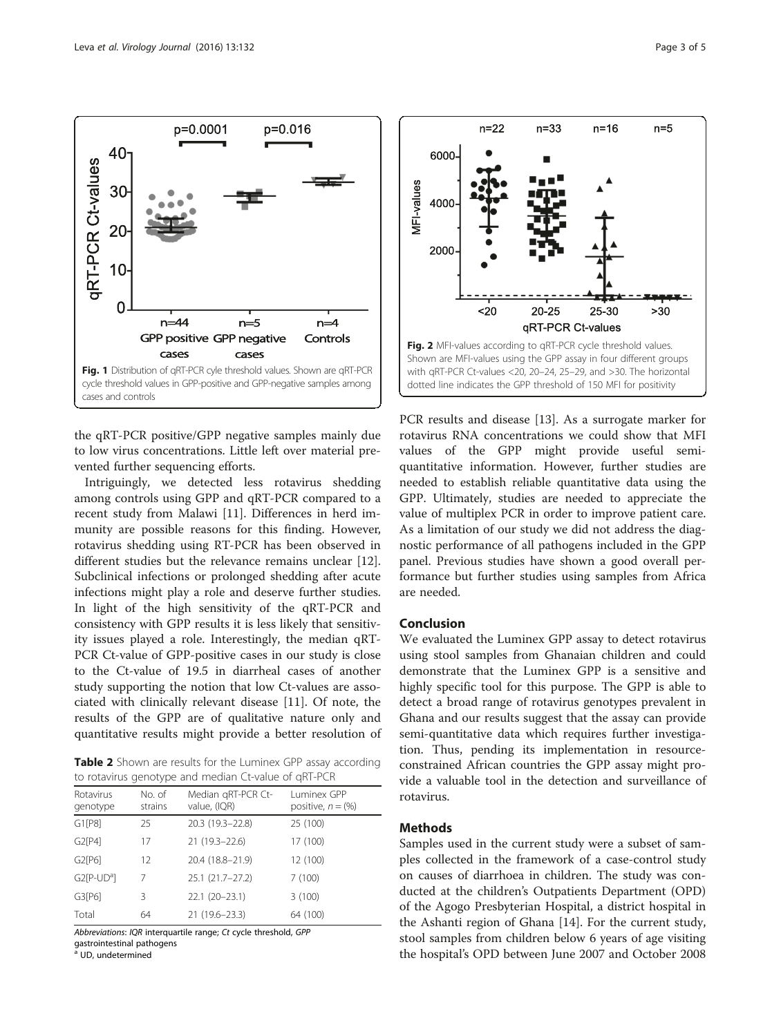<span id="page-2-0"></span>

the qRT-PCR positive/GPP negative samples mainly due to low virus concentrations. Little left over material prevented further sequencing efforts.

Intriguingly, we detected less rotavirus shedding among controls using GPP and qRT-PCR compared to a recent study from Malawi [[11\]](#page-4-0). Differences in herd immunity are possible reasons for this finding. However, rotavirus shedding using RT-PCR has been observed in different studies but the relevance remains unclear [\[12](#page-4-0)]. Subclinical infections or prolonged shedding after acute infections might play a role and deserve further studies. In light of the high sensitivity of the qRT-PCR and consistency with GPP results it is less likely that sensitivity issues played a role. Interestingly, the median qRT-PCR Ct-value of GPP-positive cases in our study is close to the Ct-value of 19.5 in diarrheal cases of another study supporting the notion that low Ct-values are associated with clinically relevant disease [\[11](#page-4-0)]. Of note, the results of the GPP are of qualitative nature only and quantitative results might provide a better resolution of

Table 2 Shown are results for the Luminex GPP assay according to rotavirus genotype and median Ct-value of qRT-PCR

|                           | $\sqrt{2}$        |                                    |                                     |  |
|---------------------------|-------------------|------------------------------------|-------------------------------------|--|
| Rotavirus<br>genotype     | No. of<br>strains | Median gRT-PCR Ct-<br>value, (IQR) | Luminex GPP<br>positive, $n = (\%)$ |  |
| G1[P8]                    | 25                | 20.3 (19.3-22.8)                   | 25 (100)                            |  |
| G2[P4]                    | 17                | 21 (19.3-22.6)                     | 17 (100)                            |  |
| G2[P6]                    | 12                | 20.4 (18.8-21.9)                   | 12 (100)                            |  |
| $G2[$ P-UD <sup>a</sup> ] | 7                 | 25.1 (21.7-27.2)                   | 7(100)                              |  |
| G3[P6]                    | 3                 | $22.1(20-23.1)$                    | 3(100)                              |  |
| Total                     | 64                | 21 (19.6-23.3)                     | 64 (100)                            |  |
|                           |                   |                                    |                                     |  |

Abbreviations: IQR interquartile range; Ct cycle threshold, GPP gastrointestinal pathogens

<sup>a</sup> UD, undetermined



PCR results and disease [\[13\]](#page-4-0). As a surrogate marker for rotavirus RNA concentrations we could show that MFI values of the GPP might provide useful semiquantitative information. However, further studies are needed to establish reliable quantitative data using the GPP. Ultimately, studies are needed to appreciate the value of multiplex PCR in order to improve patient care. As a limitation of our study we did not address the diagnostic performance of all pathogens included in the GPP panel. Previous studies have shown a good overall performance but further studies using samples from Africa are needed.

## Conclusion

We evaluated the Luminex GPP assay to detect rotavirus using stool samples from Ghanaian children and could demonstrate that the Luminex GPP is a sensitive and highly specific tool for this purpose. The GPP is able to detect a broad range of rotavirus genotypes prevalent in Ghana and our results suggest that the assay can provide semi-quantitative data which requires further investigation. Thus, pending its implementation in resourceconstrained African countries the GPP assay might provide a valuable tool in the detection and surveillance of rotavirus.

## Methods

Samples used in the current study were a subset of samples collected in the framework of a case-control study on causes of diarrhoea in children. The study was conducted at the children's Outpatients Department (OPD) of the Agogo Presbyterian Hospital, a district hospital in the Ashanti region of Ghana [\[14](#page-4-0)]. For the current study, stool samples from children below 6 years of age visiting the hospital's OPD between June 2007 and October 2008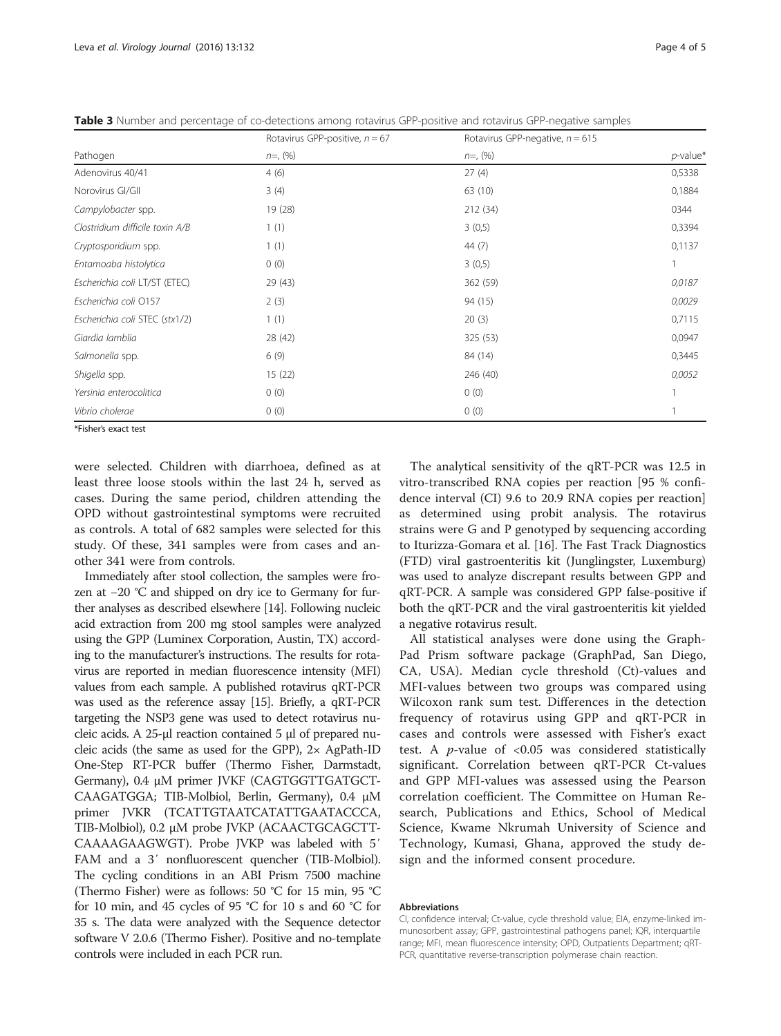<span id="page-3-0"></span>Table 3 Number and percentage of co-detections among rotavirus GPP-positive and rotavirus GPP-negative samples

|                                 | Rotavirus GPP-positive, $n = 67$ | Rotavirus GPP-negative, $n = 615$ |             |  |
|---------------------------------|----------------------------------|-----------------------------------|-------------|--|
| Pathogen                        | $n=$ , $(%)$                     | $n=$ , $(%)$                      | $p$ -value* |  |
| Adenovirus 40/41                | 4(6)                             | 27(4)                             | 0,5338      |  |
| Norovirus GI/GII                | 3(4)                             | 63 (10)                           | 0,1884      |  |
| Campylobacter spp.              | 19 (28)                          | 212 (34)                          | 0344        |  |
| Clostridium difficile toxin A/B | 1(1)                             | 3(0,5)                            | 0,3394      |  |
| Cryptosporidium spp.            | 1(1)                             | 44 (7)                            | 0,1137      |  |
| Entamoaba histolytica           | 0(0)                             | 3(0,5)                            |             |  |
| Escherichia coli LT/ST (ETEC)   | 29 (43)                          | 362 (59)                          | 0,0187      |  |
| Escherichia coli O157           | 2(3)                             | 94 (15)                           | 0,0029      |  |
| Escherichia coli STEC (stx1/2)  | 1(1)                             | 20(3)                             | 0,7115      |  |
| Giardia lamblia                 | 28 (42)                          | 325 (53)                          | 0,0947      |  |
| Salmonella spp.                 | 6(9)                             | 84 (14)                           | 0,3445      |  |
| Shigella spp.                   | 15(22)                           | 246 (40)                          | 0,0052      |  |
| Yersinia enterocolitica         | 0(0)                             | 0(0)                              |             |  |
| Vibrio cholerae                 | 0(0)                             | 0(0)                              |             |  |
| $\sim$ $ \sim$ $ \sim$ $-$      |                                  |                                   |             |  |

\*Fisher's exact test

were selected. Children with diarrhoea, defined as at least three loose stools within the last 24 h, served as cases. During the same period, children attending the OPD without gastrointestinal symptoms were recruited as controls. A total of 682 samples were selected for this study. Of these, 341 samples were from cases and another 341 were from controls.

Immediately after stool collection, the samples were frozen at −20 °C and shipped on dry ice to Germany for further analyses as described elsewhere [\[14\]](#page-4-0). Following nucleic acid extraction from 200 mg stool samples were analyzed using the GPP (Luminex Corporation, Austin, TX) according to the manufacturer's instructions. The results for rotavirus are reported in median fluorescence intensity (MFI) values from each sample. A published rotavirus qRT-PCR was used as the reference assay [\[15\]](#page-4-0). Briefly, a qRT-PCR targeting the NSP3 gene was used to detect rotavirus nucleic acids. A 25-μl reaction contained 5 μl of prepared nucleic acids (the same as used for the GPP), 2× AgPath-ID One-Step RT-PCR buffer (Thermo Fisher, Darmstadt, Germany), 0.4 μM primer JVKF (CAGTGGTTGATGCT-CAAGATGGA; TIB-Molbiol, Berlin, Germany), 0.4 μM primer JVKR (TCATTGTAATCATATTGAATACCCA, TIB-Molbiol), 0.2 μM probe JVKP (ACAACTGCAGCTT-CAAAAGAAGWGT). Probe JVKP was labeled with 5′ FAM and a 3′ nonfluorescent quencher (TIB-Molbiol). The cycling conditions in an ABI Prism 7500 machine (Thermo Fisher) were as follows: 50 °C for 15 min, 95 °C for 10 min, and 45 cycles of 95 °C for 10 s and 60 °C for 35 s. The data were analyzed with the Sequence detector software V 2.0.6 (Thermo Fisher). Positive and no-template controls were included in each PCR run.

The analytical sensitivity of the qRT-PCR was 12.5 in vitro-transcribed RNA copies per reaction [95 % confidence interval (CI) 9.6 to 20.9 RNA copies per reaction] as determined using probit analysis. The rotavirus strains were G and P genotyped by sequencing according to Iturizza-Gomara et al. [\[16](#page-4-0)]. The Fast Track Diagnostics (FTD) viral gastroenteritis kit (Junglingster, Luxemburg) was used to analyze discrepant results between GPP and qRT-PCR. A sample was considered GPP false-positive if both the qRT-PCR and the viral gastroenteritis kit yielded a negative rotavirus result.

All statistical analyses were done using the Graph-Pad Prism software package (GraphPad, San Diego, CA, USA). Median cycle threshold (Ct)-values and MFI-values between two groups was compared using Wilcoxon rank sum test. Differences in the detection frequency of rotavirus using GPP and qRT-PCR in cases and controls were assessed with Fisher's exact test. A  $p$ -value of <0.05 was considered statistically significant. Correlation between qRT-PCR Ct-values and GPP MFI-values was assessed using the Pearson correlation coefficient. The Committee on Human Research, Publications and Ethics, School of Medical Science, Kwame Nkrumah University of Science and Technology, Kumasi, Ghana, approved the study design and the informed consent procedure.

#### Abbreviations

CI, confidence interval; Ct-value, cycle threshold value; EIA, enzyme-linked immunosorbent assay; GPP, gastrointestinal pathogens panel; IQR, interquartile range; MFI, mean fluorescence intensity; OPD, Outpatients Department; qRT-PCR, quantitative reverse-transcription polymerase chain reaction.